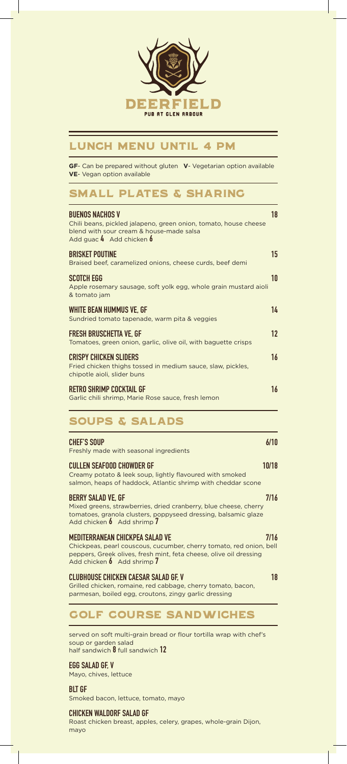

# LUNCH MENU Until 4 pm

**GF**- Can be prepared without gluten **V**- Vegetarian option available **VE**- Vegan option available

# SMALL PLATES & SHARING

| <b>BUENOS NACHOS V</b><br>Chili beans, pickled jalapeno, green onion, tomato, house cheese<br>blend with sour cream & house-made salsa<br>Add guac $4$ Add chicken $6$ | 18   |
|------------------------------------------------------------------------------------------------------------------------------------------------------------------------|------|
| <b>BRISKET POUTINE</b><br>Braised beef, caramelized onions, cheese curds, beef demi                                                                                    | 15   |
| <b>SCOTCH EGG</b><br>Apple rosemary sausage, soft yolk egg, whole grain mustard aioli<br>& tomato jam                                                                  | 10   |
| WHITE BEAN HUMMUS VE, GF<br>Sundried tomato tapenade, warm pita & veggies                                                                                              | 14   |
| <b>FRESH BRUSCHETTA VE. GF</b><br>Tomatoes, green onion, garlic, olive oil, with baguette crisps                                                                       | 12   |
| <b>CRISPY CHICKEN SLIDERS</b><br>Fried chicken thighs tossed in medium sauce, slaw, pickles,<br>chipotle aioli, slider buns                                            | 16   |
| <b>RETRO SHRIMP COCKTAIL GF</b><br>Garlic chili shrimp, Marie Rose sauce, fresh lemon                                                                                  | 16   |
| <b>SOUPS &amp; SALADS</b>                                                                                                                                              |      |
| CHEF'S SOUP<br>Freshly made with seasonal ingredients                                                                                                                  | 6/10 |

### CULLEN SEAFOOD CHOWDER GF 10/18 Creamy potato & leek soup, lightly flavoured with smoked salmon, heaps of haddock, Atlantic shrimp with cheddar scone

BERRY SALAD VE, GF 7/16 Mixed greens, strawberries, dried cranberry, blue cheese, cherry tomatoes, granola clusters, poppyseed dressing, balsamic glaze Add chicken **6** Add shrimp 7

#### MEDITERRANEAN CHICKPEA SALAD VE 7/16 Chickpeas, pearl couscous, cucumber, cherry tomato, red onion, bell

peppers, Greek olives, fresh mint, feta cheese, olive oil dressing Add chicken 6 Add shrimp 7

#### CLUBHOUSE CHICKEN CAESAR SALAD GF, V 18

Grilled chicken, romaine, red cabbage, cherry tomato, bacon, parmesan, boiled egg, croutons, zingy garlic dressing

# GOLF COURSE SANDWICHES

served on soft multi-grain bread or flour tortilla wrap with chef's soup or garden salad half sandwich 8 full sandwich 12

#### EGG SALAD GF, V

Mayo, chives, lettuce

BLT GF

Smoked bacon, lettuce, tomato, mayo

#### CHICKEN WALDORF SALAD GF

Roast chicken breast, apples, celery, grapes, whole-grain Dijon, mayo